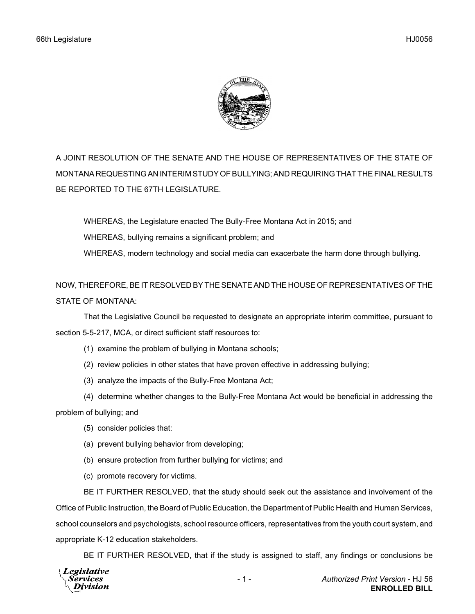

A JOINT RESOLUTION OF THE SENATE AND THE HOUSE OF REPRESENTATIVES OF THE STATE OF MONTANA REQUESTING AN INTERIM STUDY OF BULLYING; AND REQUIRING THAT THE FINAL RESULTS BE REPORTED TO THE 67TH LEGISLATURE.

WHEREAS, the Legislature enacted The Bully-Free Montana Act in 2015; and WHEREAS, bullying remains a significant problem; and WHEREAS, modern technology and social media can exacerbate the harm done through bullying.

NOW, THEREFORE, BE IT RESOLVED BY THE SENATE AND THE HOUSE OF REPRESENTATIVES OF THE STATE OF MONTANA:

That the Legislative Council be requested to designate an appropriate interim committee, pursuant to section 5-5-217, MCA, or direct sufficient staff resources to:

(1) examine the problem of bullying in Montana schools;

- (2) review policies in other states that have proven effective in addressing bullying;
- (3) analyze the impacts of the Bully-Free Montana Act;

(4) determine whether changes to the Bully-Free Montana Act would be beneficial in addressing the problem of bullying; and

- (5) consider policies that:
- (a) prevent bullying behavior from developing;
- (b) ensure protection from further bullying for victims; and
- (c) promote recovery for victims.

BE IT FURTHER RESOLVED, that the study should seek out the assistance and involvement of the Office of Public Instruction, the Board of Public Education, the Department of Public Health and Human Services, school counselors and psychologists, school resource officers, representatives from the youth court system, and appropriate K-12 education stakeholders.

BE IT FURTHER RESOLVED, that if the study is assigned to staff, any findings or conclusions be

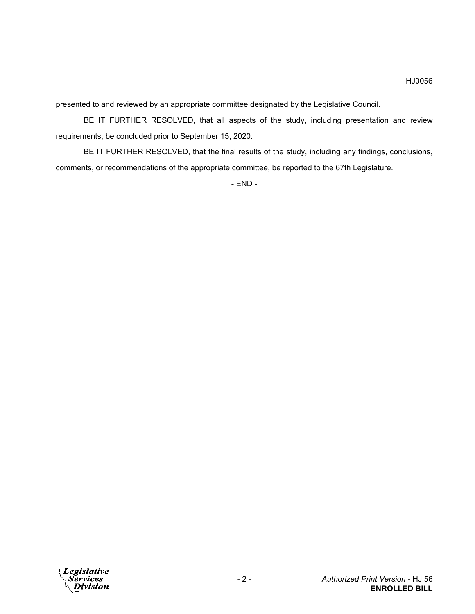presented to and reviewed by an appropriate committee designated by the Legislative Council.

BE IT FURTHER RESOLVED, that all aspects of the study, including presentation and review requirements, be concluded prior to September 15, 2020.

BE IT FURTHER RESOLVED, that the final results of the study, including any findings, conclusions, comments, or recommendations of the appropriate committee, be reported to the 67th Legislature.

- END -

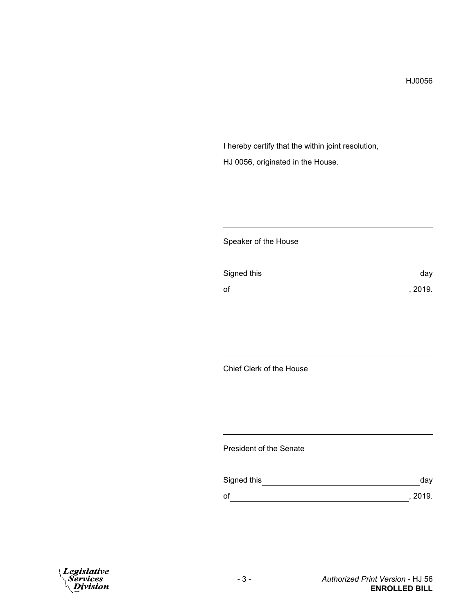I hereby certify that the within joint resolution, HJ 0056, originated in the House.

## Speaker of the House

| Signed this | day     |
|-------------|---------|
| of          | , 2019. |

## Chief Clerk of the House

## President of the Senate

| Signed this | day     |
|-------------|---------|
| 0f          | , 2019. |